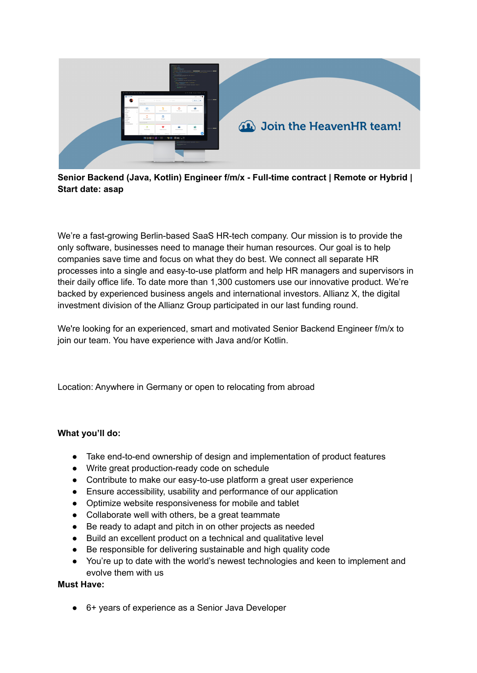

**Senior Backend (Java, Kotlin) Engineer f/m/x - Full-time contract | Remote or Hybrid | Start date: asap**

We're a fast-growing Berlin-based SaaS HR-tech company. Our mission is to provide the only software, businesses need to manage their human resources. Our goal is to help companies save time and focus on what they do best. We connect all separate HR processes into a single and easy-to-use platform and help HR managers and supervisors in their daily office life. To date more than 1,300 customers use our innovative product. We're backed by experienced business angels and international investors. Allianz X, the digital investment division of the Allianz Group participated in our last funding round.

We're looking for an experienced, smart and motivated Senior Backend Engineer f/m/x to join our team. You have experience with Java and/or Kotlin.

Location: Anywhere in Germany or open to relocating from abroad

## **What you'll do:**

- Take end-to-end ownership of design and implementation of product features
- Write great production-ready code on schedule
- Contribute to make our easy-to-use platform a great user experience
- Ensure accessibility, usability and performance of our application
- Optimize website responsiveness for mobile and tablet
- Collaborate well with others, be a great teammate
- Be ready to adapt and pitch in on other projects as needed
- Build an excellent product on a technical and qualitative level
- Be responsible for delivering sustainable and high quality code
- You're up to date with the world's newest technologies and keen to implement and evolve them with us

## **Must Have:**

● 6+ years of experience as a Senior Java Developer